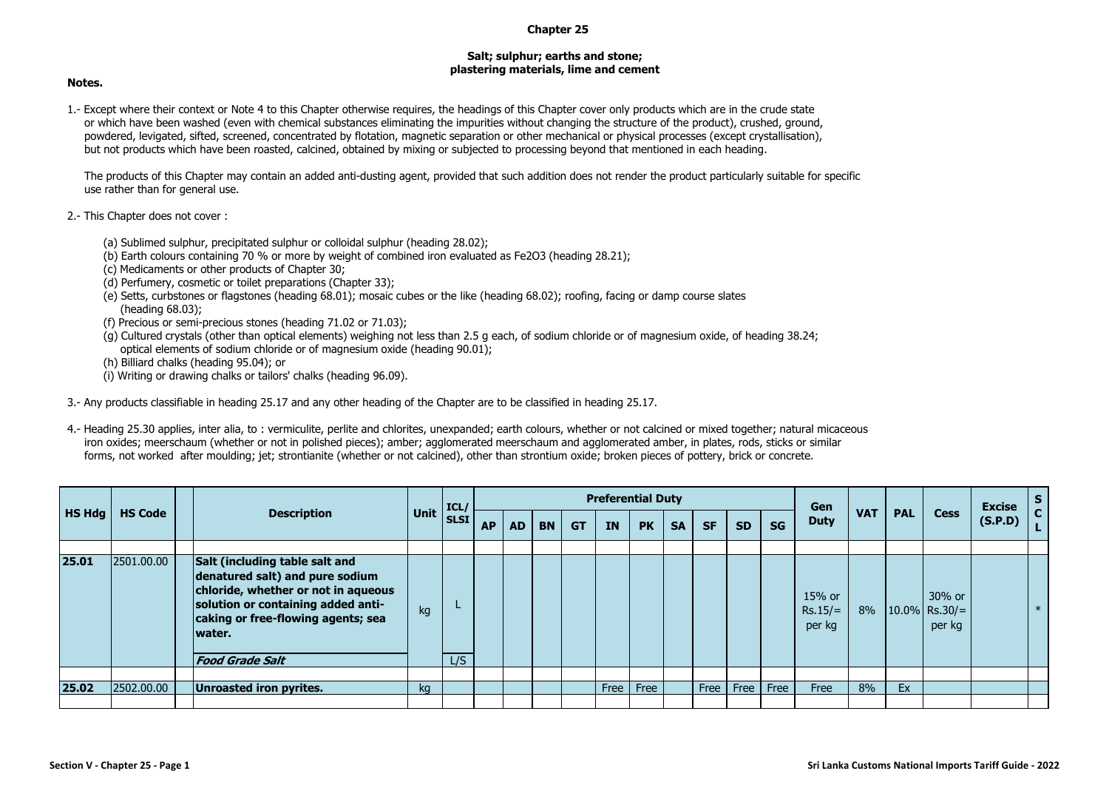## **Chapter 25**

## **Salt; sulphur; earths and stone; plastering materials, lime and cement**

## **Notes.**

1.- Except where their context or Note 4 to this Chapter otherwise requires, the headings of this Chapter cover only products which are in the crude state or which have been washed (even with chemical substances eliminating the impurities without changing the structure of the product), crushed, ground, powdered, levigated, sifted, screened, concentrated by flotation, magnetic separation or other mechanical or physical processes (except crystallisation), but not products which have been roasted, calcined, obtained by mixing or subjected to processing beyond that mentioned in each heading.

The products of this Chapter may contain an added anti-dusting agent, provided that such addition does not render the product particularly suitable for specific use rather than for general use.

- 2.- This Chapter does not cover :
	- (a) Sublimed sulphur, precipitated sulphur or colloidal sulphur (heading 28.02);
	- (b) Earth colours containing 70 % or more by weight of combined iron evaluated as Fe2O3 (heading 28.21);
	- (c) Medicaments or other products of Chapter 30;
	- (d) Perfumery, cosmetic or toilet preparations (Chapter 33);
	- (e) Setts, curbstones or flagstones (heading 68.01); mosaic cubes or the like (heading 68.02); roofing, facing or damp course slates (heading 68.03);
	- (f) Precious or semi-precious stones (heading 71.02 or 71.03);
	- (g) Cultured crystals (other than optical elements) weighing not less than 2.5 g each, of sodium chloride or of magnesium oxide, of heading 38.24; optical elements of sodium chloride or of magnesium oxide (heading 90.01);
	- (h) Billiard chalks (heading 95.04); or
	- (i) Writing or drawing chalks or tailors' chalks (heading 96.09).

3.- Any products classifiable in heading 25.17 and any other heading of the Chapter are to be classified in heading 25.17.

4.- Heading 25.30 applies, inter alia, to : vermiculite, perlite and chlorites, unexpanded; earth colours, whether or not calcined or mixed together; natural micaceous iron oxides; meerschaum (whether or not in polished pieces); amber; agglomerated meerschaum and agglomerated amber, in plates, rods, sticks or similar forms, not worked after moulding; jet; strontianite (whether or not calcined), other than strontium oxide; broken pieces of pottery, brick or concrete.

|        |                |        |                                                                                                                                                                                                                |      | $\vert$ ICL/ |           |           |           |           | <b>Preferential Duty</b> |           |           |           |           |      | Gen                           |            |            |                                        | <b>Excise</b> | <b>S</b>   |
|--------|----------------|--------|----------------------------------------------------------------------------------------------------------------------------------------------------------------------------------------------------------------|------|--------------|-----------|-----------|-----------|-----------|--------------------------|-----------|-----------|-----------|-----------|------|-------------------------------|------------|------------|----------------------------------------|---------------|------------|
| HS Hdg | <b>HS Code</b> |        | <b>Description</b>                                                                                                                                                                                             | Unit | <b>SLSI</b>  | <b>AP</b> | <b>AD</b> | <b>BN</b> | <b>GT</b> | <b>IN</b>                | <b>PK</b> | <b>SA</b> | <b>SF</b> | <b>SD</b> | SG   | <b>Duty</b>                   | <b>VAT</b> | <b>PAL</b> | <b>Cess</b>                            | (S.P.D)       | C.<br>. L. |
| 25.01  | 2501.00.00     | water. | Salt (including table salt and<br>denatured salt) and pure sodium<br>chloride, whether or not in aqueous<br>solution or containing added anti-<br>caking or free-flowing agents; sea<br><b>Food Grade Salt</b> | kg   | L/S          |           |           |           |           |                          |           |           |           |           |      | 15% or<br>$Rs.15/=$<br>per kg | 8%         |            | 30% or<br>$ 10.0\% $ Rs.30/=<br>per kg |               | $*$        |
| 25.02  | 2502.00.00     |        | Unroasted iron pyrites.                                                                                                                                                                                        | kq   |              |           |           |           |           | Free                     | Free      |           | Free      | Free      | Free | Free                          | 8%         | Ex         |                                        |               |            |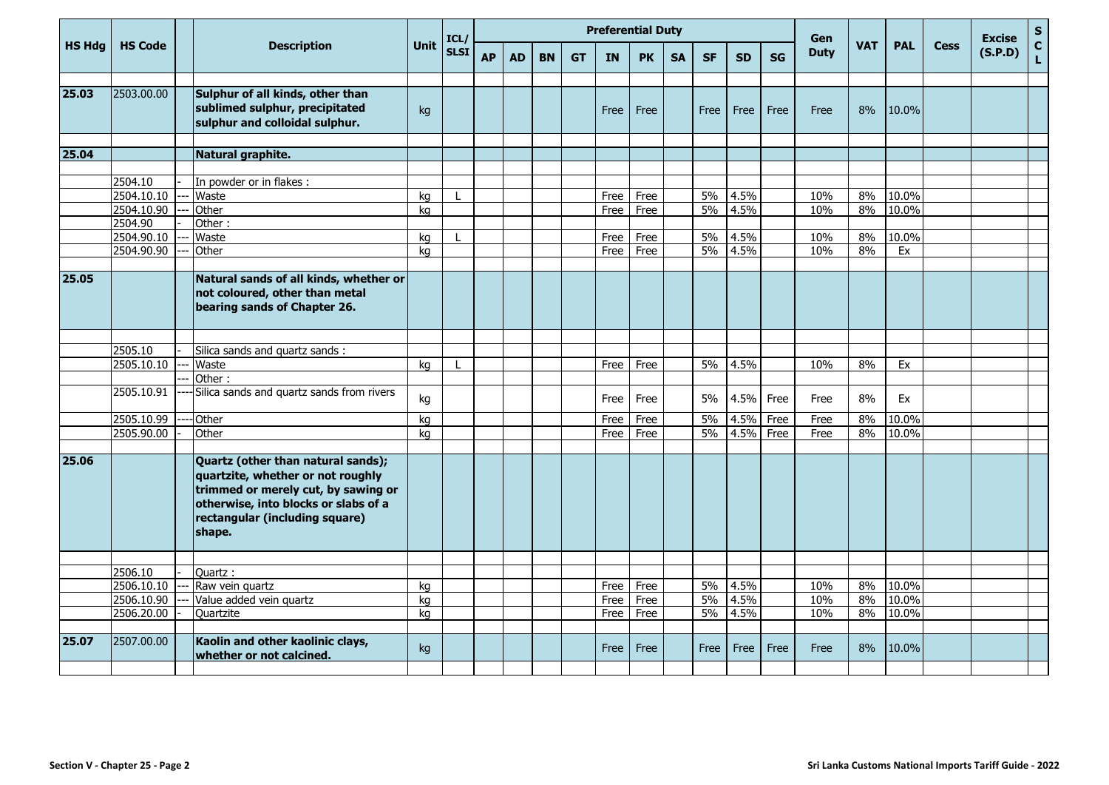|               |                |                                                                                                                                                                                                    |      | ICL/        |           |           |           |           | <b>Preferential Duty</b> |           |           |           |           |           | Gen         |            |            |             | <b>Excise</b> | ${\sf s}$          |
|---------------|----------------|----------------------------------------------------------------------------------------------------------------------------------------------------------------------------------------------------|------|-------------|-----------|-----------|-----------|-----------|--------------------------|-----------|-----------|-----------|-----------|-----------|-------------|------------|------------|-------------|---------------|--------------------|
| <b>HS Hdg</b> | <b>HS Code</b> | <b>Description</b>                                                                                                                                                                                 | Unit | <b>SLSI</b> | <b>AP</b> | <b>AD</b> | <b>BN</b> | <b>GT</b> | <b>IN</b>                | <b>PK</b> | <b>SA</b> | <b>SF</b> | <b>SD</b> | <b>SG</b> | <b>Duty</b> | <b>VAT</b> | <b>PAL</b> | <b>Cess</b> | (S.P.D)       | $\mathbf{C}$<br>L. |
| 25.03         | 2503.00.00     | Sulphur of all kinds, other than<br>sublimed sulphur, precipitated<br>sulphur and colloidal sulphur.                                                                                               | kg   |             |           |           |           |           | Free                     | Free      |           | Free      | Free      | Free      | Free        | 8%         | 10.0%      |             |               |                    |
| 25.04         |                |                                                                                                                                                                                                    |      |             |           |           |           |           |                          |           |           |           |           |           |             |            |            |             |               |                    |
|               |                | Natural graphite.                                                                                                                                                                                  |      |             |           |           |           |           |                          |           |           |           |           |           |             |            |            |             |               |                    |
|               | 2504.10        | In powder or in flakes :                                                                                                                                                                           |      |             |           |           |           |           |                          |           |           |           |           |           |             |            |            |             |               |                    |
|               | 2504.10.10     | Waste                                                                                                                                                                                              | ka   |             |           |           |           |           | Free                     | Free      |           | 5%        | 4.5%      |           | 10%         | 8%         | 10.0%      |             |               |                    |
|               | 2504.10.90     | Other                                                                                                                                                                                              | ka   |             |           |           |           |           | Free                     | Free      |           | 5%        | 4.5%      |           | 10%         | 8%         | 10.0%      |             |               |                    |
|               | 2504.90        | Other:                                                                                                                                                                                             |      |             |           |           |           |           |                          |           |           |           |           |           |             |            |            |             |               |                    |
|               | 2504.90.10     | Waste                                                                                                                                                                                              | kg   |             |           |           |           |           | Free                     | Free      |           | 5%        | 4.5%      |           | 10%         | 8%         | 10.0%      |             |               |                    |
|               | 2504.90.90     | Other                                                                                                                                                                                              | kg   |             |           |           |           |           | Free                     | Free      |           | $5\%$     | 4.5%      |           | 10%         | 8%         | Ex         |             |               |                    |
|               |                |                                                                                                                                                                                                    |      |             |           |           |           |           |                          |           |           |           |           |           |             |            |            |             |               |                    |
| 25.05         |                | Natural sands of all kinds, whether or<br>not coloured, other than metal<br>bearing sands of Chapter 26.                                                                                           |      |             |           |           |           |           |                          |           |           |           |           |           |             |            |            |             |               |                    |
|               |                |                                                                                                                                                                                                    |      |             |           |           |           |           |                          |           |           |           |           |           |             |            |            |             |               |                    |
|               | 2505.10        | Silica sands and quartz sands :                                                                                                                                                                    |      |             |           |           |           |           |                          |           |           |           |           |           |             |            |            |             |               |                    |
|               | 2505.10.10     | Waste                                                                                                                                                                                              | kg   |             |           |           |           |           | Free                     | Free      |           | 5%        | 4.5%      |           | 10%         | 8%         | Ex         |             |               |                    |
|               |                | Other:                                                                                                                                                                                             |      |             |           |           |           |           |                          |           |           |           |           |           |             |            |            |             |               |                    |
|               | 2505.10.91     | Silica sands and quartz sands from rivers                                                                                                                                                          | kg   |             |           |           |           |           | Free                     | Free      |           | 5%        | 4.5%      | Free      | Free        | 8%         | Ex         |             |               |                    |
|               | 2505.10.99     | <b>Other</b>                                                                                                                                                                                       | kg   |             |           |           |           |           | Free                     | Free      |           | 5%        | 4.5%      | Free      | Free        | 8%         | 10.0%      |             |               |                    |
|               | 2505.90.00     | Other                                                                                                                                                                                              | ka   |             |           |           |           |           | Free                     | Free      |           | 5%        | 4.5%      | Free      | Free        | 8%         | 10.0%      |             |               |                    |
| 25.06         |                | Quartz (other than natural sands);<br>quartzite, whether or not roughly<br>trimmed or merely cut, by sawing or<br>otherwise, into blocks or slabs of a<br>rectangular (including square)<br>shape. |      |             |           |           |           |           |                          |           |           |           |           |           |             |            |            |             |               |                    |
|               | 2506.10        | Quartz:                                                                                                                                                                                            |      |             |           |           |           |           |                          |           |           |           |           |           |             |            |            |             |               |                    |
|               | 2506.10.10     | Raw vein quartz                                                                                                                                                                                    | kg   |             |           |           |           |           | Free                     | Free      |           | 5%        | 4.5%      |           | 10%         | 8%         | 10.0%      |             |               |                    |
|               | 2506.10.90     | Value added vein quartz                                                                                                                                                                            | ka   |             |           |           |           |           | Free                     | Free      |           | $5\%$     | 4.5%      |           | 10%         | 8%         | 10.0%      |             |               |                    |
|               | 2506.20.00     | Quartzite                                                                                                                                                                                          | ka   |             |           |           |           |           | Free                     | Free      |           | $5\%$     | 4.5%      |           | 10%         | 8%         | 10.0%      |             |               |                    |
|               |                |                                                                                                                                                                                                    |      |             |           |           |           |           |                          |           |           |           |           |           |             |            |            |             |               |                    |
| 25.07         | 2507.00.00     | Kaolin and other kaolinic clays,<br>whether or not calcined.                                                                                                                                       | kg   |             |           |           |           |           | Free                     | Free      |           | Free      | Free      | Free      | Free        | 8%         | 10.0%      |             |               |                    |
|               |                |                                                                                                                                                                                                    |      |             |           |           |           |           |                          |           |           |           |           |           |             |            |            |             |               |                    |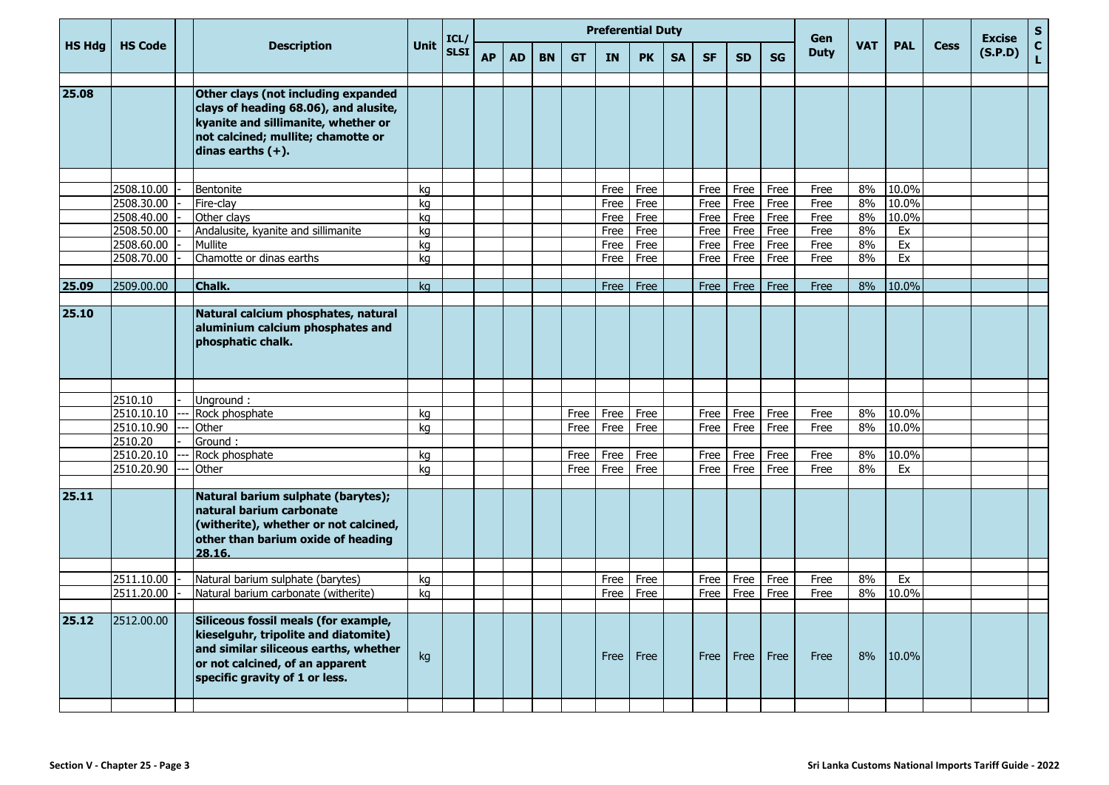|        |                |                                                                                                                                                                                            |      | ICL/        |           |           |           |           | <b>Preferential Duty</b> |           |           |           |           |           | Gen         |            |            |             | <b>Excise</b> | S                  |
|--------|----------------|--------------------------------------------------------------------------------------------------------------------------------------------------------------------------------------------|------|-------------|-----------|-----------|-----------|-----------|--------------------------|-----------|-----------|-----------|-----------|-----------|-------------|------------|------------|-------------|---------------|--------------------|
| HS Hdg | <b>HS Code</b> | <b>Description</b>                                                                                                                                                                         | Unit | <b>SLSI</b> | <b>AP</b> | <b>AD</b> | <b>BN</b> | <b>GT</b> | <b>IN</b>                | <b>PK</b> | <b>SA</b> | <b>SF</b> | <b>SD</b> | <b>SG</b> | <b>Duty</b> | <b>VAT</b> | <b>PAL</b> | <b>Cess</b> | (S.P.D)       | $\mathbf{C}$<br>L. |
| 25.08  |                | Other clays (not including expanded<br>clays of heading 68.06), and alusite,<br>kyanite and sillimanite, whether or<br>not calcined; mullite; chamotte or<br>dinas earths $(+)$ .          |      |             |           |           |           |           |                          |           |           |           |           |           |             |            |            |             |               |                    |
|        |                |                                                                                                                                                                                            |      |             |           |           |           |           |                          |           |           |           |           |           |             |            |            |             |               |                    |
|        | 2508.10.00     | Bentonite                                                                                                                                                                                  | kq   |             |           |           |           |           | Free                     | Free      |           | Free      | Free      | Free      | Free        | 8%         | 10.0%      |             |               |                    |
|        | 2508.30.00     | Fire-clay                                                                                                                                                                                  | kg   |             |           |           |           |           | Free                     | Free      |           | Free      | Free      | Free      | Free        | 8%         | 10.0%      |             |               |                    |
|        | 2508.40.00     | Other clays                                                                                                                                                                                | kg   |             |           |           |           |           | Free                     | Free      |           | Free      | Free      | Free      | Free        | 8%         | 10.0%      |             |               |                    |
|        | 2508.50.00     | Andalusite, kyanite and sillimanite                                                                                                                                                        | kg   |             |           |           |           |           | Free                     | Free      |           | Free      | Free      | Free      | Free        | 8%         | Ex         |             |               |                    |
|        | 2508.60.00     | Mullite                                                                                                                                                                                    | kg   |             |           |           |           |           | Free                     | Free      |           | Free      | Free      | Free      | Free        | 8%         | Ex         |             |               |                    |
|        | 2508.70.00     | Chamotte or dinas earths                                                                                                                                                                   | kg   |             |           |           |           |           | Free                     | Free      |           | Free      | Free      | Free      | Free        | 8%         | Ex         |             |               |                    |
| 25.09  | 2509.00.00     | Chalk.                                                                                                                                                                                     |      |             |           |           |           |           |                          | Free      |           |           |           | Free      |             | 8%         | $10.0\%$   |             |               |                    |
|        |                |                                                                                                                                                                                            | ka   |             |           |           |           |           | Free                     |           |           | Free      | Free      |           | Free        |            |            |             |               |                    |
| 25.10  |                | Natural calcium phosphates, natural<br>aluminium calcium phosphates and<br>phosphatic chalk.                                                                                               |      |             |           |           |           |           |                          |           |           |           |           |           |             |            |            |             |               |                    |
|        |                |                                                                                                                                                                                            |      |             |           |           |           |           |                          |           |           |           |           |           |             |            |            |             |               |                    |
|        | 2510.10        | Unground:                                                                                                                                                                                  |      |             |           |           |           |           |                          |           |           |           |           |           |             |            |            |             |               |                    |
|        | 2510.10.10     | Rock phosphate                                                                                                                                                                             | kg   |             |           |           |           | Free      | Free                     | Free      |           | Free      | Free      | Free      | Free        | 8%         | 10.0%      |             |               |                    |
|        | 2510.10.90     | Other                                                                                                                                                                                      | ka   |             |           |           |           | Free      | Free                     | Free      |           | Free      | Free      | Free      | Free        | 8%         | 10.0%      |             |               |                    |
|        | 2510.20        | Ground:                                                                                                                                                                                    |      |             |           |           |           |           |                          |           |           |           |           |           |             |            |            |             |               |                    |
|        | 2510.20.10     | Rock phosphate                                                                                                                                                                             | kg   |             |           |           |           | Free      | Free                     | Free      |           | Free      | Free      | Free      | Free        | 8%         | 10.0%      |             |               |                    |
|        | 2510.20.90     | Other                                                                                                                                                                                      | kg   |             |           |           |           | Free      | Free                     | Free      |           | Free      | Free      | Free      | Free        | 8%         | Ex         |             |               |                    |
| 25.11  |                | Natural barium sulphate (barytes);<br>natural barium carbonate<br>(witherite), whether or not calcined,<br>other than barium oxide of heading<br>28.16.                                    |      |             |           |           |           |           |                          |           |           |           |           |           |             |            |            |             |               |                    |
|        |                |                                                                                                                                                                                            |      |             |           |           |           |           |                          |           |           |           |           |           |             |            |            |             |               |                    |
|        | 2511.10.00     | Natural barium sulphate (barytes)                                                                                                                                                          | kg   |             |           |           |           |           | Free                     | Free      |           | Free      | Free      | Free      | Free        | 8%         | Ex         |             |               |                    |
|        | 2511.20.00     | Natural barium carbonate (witherite)                                                                                                                                                       | kg   |             |           |           |           |           | Free                     | Free      |           | Free      | Free      | Free      | Free        | 8%         | 10.0%      |             |               |                    |
| 25.12  | 2512.00.00     | Siliceous fossil meals (for example,<br>kieselguhr, tripolite and diatomite)<br>and similar siliceous earths, whether<br>or not calcined, of an apparent<br>specific gravity of 1 or less. | kg   |             |           |           |           |           | Free                     | Free      |           | Free      | Free      | Free      | Free        | 8%         | 10.0%      |             |               |                    |
|        |                |                                                                                                                                                                                            |      |             |           |           |           |           |                          |           |           |           |           |           |             |            |            |             |               |                    |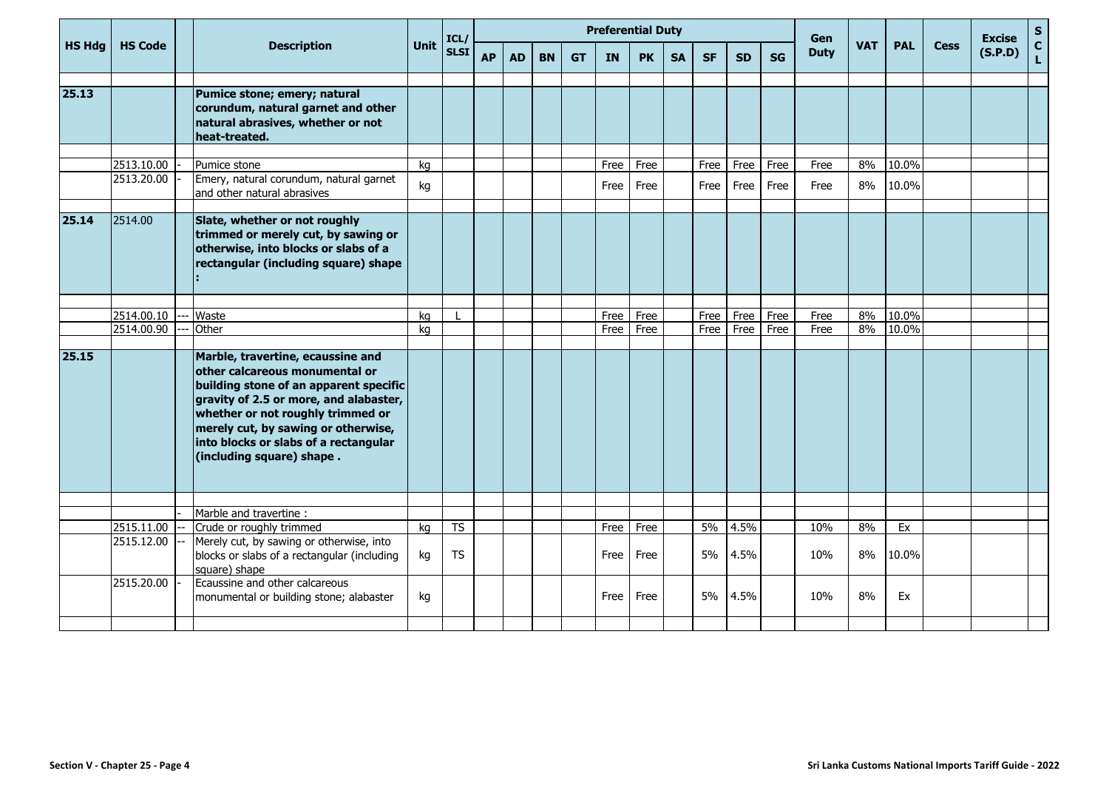|               |                |                                                                                                                                                                                                                                                                                                           | <b>Preferential Duty</b><br>ICL/<br>Unit |             |           |           |           |           |           |           |           |           |           |      | Gen         |            |            |             | <b>Excise</b> | S                 |
|---------------|----------------|-----------------------------------------------------------------------------------------------------------------------------------------------------------------------------------------------------------------------------------------------------------------------------------------------------------|------------------------------------------|-------------|-----------|-----------|-----------|-----------|-----------|-----------|-----------|-----------|-----------|------|-------------|------------|------------|-------------|---------------|-------------------|
| <b>HS Hdg</b> | <b>HS Code</b> | <b>Description</b>                                                                                                                                                                                                                                                                                        |                                          | <b>SLSI</b> | <b>AP</b> | <b>AD</b> | <b>BN</b> | <b>GT</b> | <b>IN</b> | <b>PK</b> | <b>SA</b> | <b>SF</b> | <b>SD</b> | SG   | <b>Duty</b> | <b>VAT</b> | <b>PAL</b> | <b>Cess</b> | (S.P.D)       | $\mathbf{C}$<br>L |
|               |                |                                                                                                                                                                                                                                                                                                           |                                          |             |           |           |           |           |           |           |           |           |           |      |             |            |            |             |               |                   |
| 25.13         |                | Pumice stone; emery; natural<br>corundum, natural garnet and other<br>natural abrasives, whether or not<br>heat-treated.                                                                                                                                                                                  |                                          |             |           |           |           |           |           |           |           |           |           |      |             |            |            |             |               |                   |
|               | 2513.10.00     | Pumice stone                                                                                                                                                                                                                                                                                              | kg                                       |             |           |           |           |           | Free      | Free      |           | Free      | Free      | Free | Free        | 8%         | 10.0%      |             |               |                   |
|               | 2513.20.00     | Emery, natural corundum, natural garnet<br>and other natural abrasives                                                                                                                                                                                                                                    | kg                                       |             |           |           |           |           | Free      | Free      |           | Free      | Free      | Free | Free        | 8%         | 10.0%      |             |               |                   |
| 25.14         | 2514.00        | Slate, whether or not roughly<br>trimmed or merely cut, by sawing or<br>otherwise, into blocks or slabs of a<br>rectangular (including square) shape                                                                                                                                                      |                                          |             |           |           |           |           |           |           |           |           |           |      |             |            |            |             |               |                   |
|               |                |                                                                                                                                                                                                                                                                                                           |                                          |             |           |           |           |           |           |           |           |           |           |      |             |            |            |             |               |                   |
|               | 2514.00.10     | Waste                                                                                                                                                                                                                                                                                                     | kg                                       |             |           |           |           |           | Free      | Free      |           | Free      | Free      | Free | Free        | 8%         | 10.0%      |             |               |                   |
|               | 2514.00.90     | Other                                                                                                                                                                                                                                                                                                     | kg                                       |             |           |           |           |           | Free      | Free      |           | Free      | Free      | Free | Free        | 8%         | 10.0%      |             |               |                   |
| 25.15         |                | Marble, travertine, ecaussine and<br>other calcareous monumental or<br>building stone of an apparent specific<br>gravity of 2.5 or more, and alabaster,<br>whether or not roughly trimmed or<br>merely cut, by sawing or otherwise,<br>into blocks or slabs of a rectangular<br>(including square) shape. |                                          |             |           |           |           |           |           |           |           |           |           |      |             |            |            |             |               |                   |
|               |                | Marble and travertine :                                                                                                                                                                                                                                                                                   |                                          |             |           |           |           |           |           |           |           |           |           |      |             |            |            |             |               |                   |
|               | 2515.11.00     | Crude or roughly trimmed                                                                                                                                                                                                                                                                                  | kg                                       | <b>TS</b>   |           |           |           |           | Free      | Free      |           | 5%        | 4.5%      |      | 10%         | 8%         | Ex         |             |               |                   |
|               | 2515.12.00     | Merely cut, by sawing or otherwise, into<br>blocks or slabs of a rectangular (including<br>square) shape                                                                                                                                                                                                  | kg                                       | <b>TS</b>   |           |           |           |           | Free      | Free      |           | 5%        | 4.5%      |      | 10%         | 8%         | 10.0%      |             |               |                   |
|               | 2515.20.00     | Ecaussine and other calcareous<br>monumental or building stone; alabaster                                                                                                                                                                                                                                 | kg                                       |             |           |           |           |           | Free      | Free      |           | 5%        | 4.5%      |      | 10%         | 8%         | Ex         |             |               |                   |
|               |                |                                                                                                                                                                                                                                                                                                           |                                          |             |           |           |           |           |           |           |           |           |           |      |             |            |            |             |               |                   |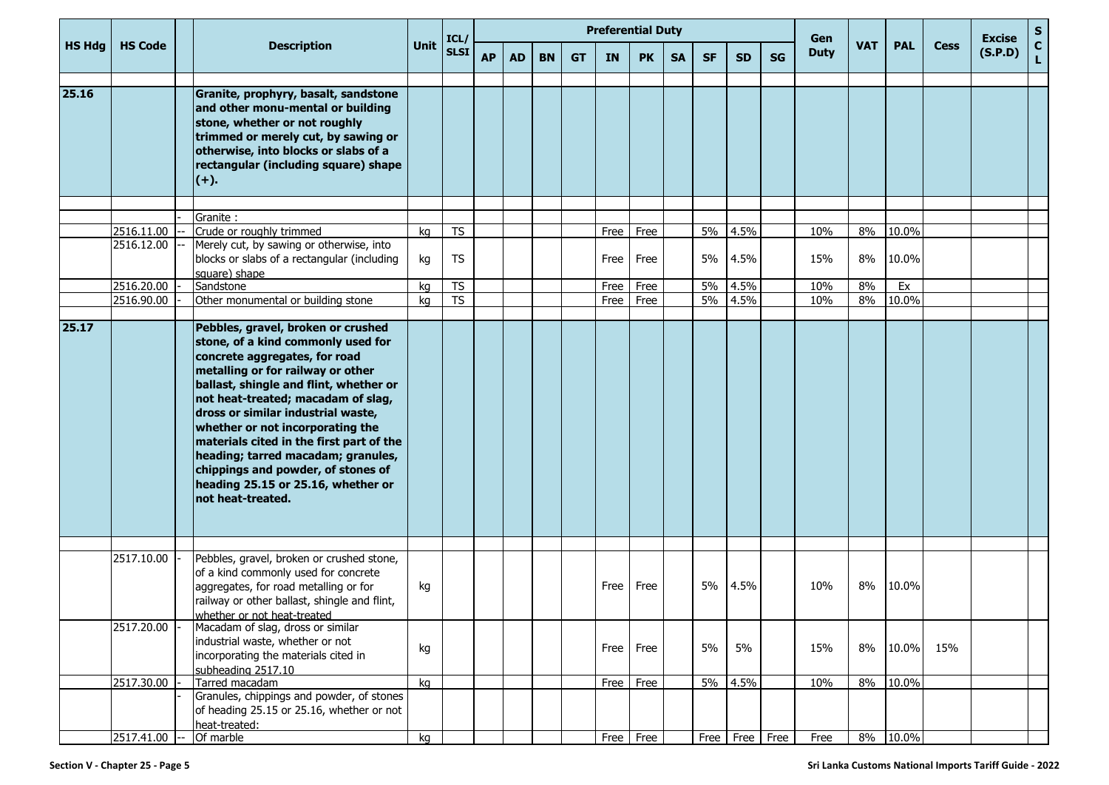|               |                         |                                                                                                                                                                                                                                                                                                                                                                                                                                                                                             |             |                          |           |     |           |           | <b>Preferential Duty</b> |           |           |           |                    |           |                    |            |            |             |                          | S                  |
|---------------|-------------------------|---------------------------------------------------------------------------------------------------------------------------------------------------------------------------------------------------------------------------------------------------------------------------------------------------------------------------------------------------------------------------------------------------------------------------------------------------------------------------------------------|-------------|--------------------------|-----------|-----|-----------|-----------|--------------------------|-----------|-----------|-----------|--------------------|-----------|--------------------|------------|------------|-------------|--------------------------|--------------------|
| <b>HS Hdg</b> | <b>HS Code</b>          | <b>Description</b>                                                                                                                                                                                                                                                                                                                                                                                                                                                                          | <b>Unit</b> | ICL/<br>SLSI             | <b>AP</b> | AD. | <b>BN</b> | <b>GT</b> | <b>IN</b>                | <b>PK</b> | <b>SA</b> | <b>SF</b> | <b>SD</b>          | <b>SG</b> | Gen<br><b>Duty</b> | <b>VAT</b> | <b>PAL</b> | <b>Cess</b> | <b>Excise</b><br>(S.P.D) | $\mathbf{C}$<br>L. |
| 25.16         |                         | Granite, prophyry, basalt, sandstone<br>and other monu-mental or building<br>stone, whether or not roughly<br>trimmed or merely cut, by sawing or<br>otherwise, into blocks or slabs of a<br>rectangular (including square) shape<br>$(+)$ .                                                                                                                                                                                                                                                |             |                          |           |     |           |           |                          |           |           |           |                    |           |                    |            |            |             |                          |                    |
|               |                         | Granite:                                                                                                                                                                                                                                                                                                                                                                                                                                                                                    |             |                          |           |     |           |           |                          |           |           |           |                    |           |                    |            |            |             |                          |                    |
|               | 2516.11.00              | Crude or roughly trimmed                                                                                                                                                                                                                                                                                                                                                                                                                                                                    | kg          | <b>TS</b>                |           |     |           |           | Free                     | Free      |           | 5%        | 4.5%               |           | 10%                | 8%         | 10.0%      |             |                          |                    |
|               | 2516.12.00              | Merely cut, by sawing or otherwise, into<br>blocks or slabs of a rectangular (including<br>square) shape                                                                                                                                                                                                                                                                                                                                                                                    | kg          | <b>TS</b>                |           |     |           |           | Free                     | Free      |           | 5%        | 4.5%               |           | 15%                | 8%         | 10.0%      |             |                          |                    |
|               | 2516.20.00              | Sandstone                                                                                                                                                                                                                                                                                                                                                                                                                                                                                   | kg          | $\overline{\mathsf{TS}}$ |           |     |           |           | Free                     | Free      |           | 5%        | 4.5%               |           | 10%                | 8%         | Ex         |             |                          |                    |
|               | 2516.90.00              | Other monumental or building stone                                                                                                                                                                                                                                                                                                                                                                                                                                                          | kg          | <b>TS</b>                |           |     |           |           | Free                     | Free      |           | 5%        | 4.5%               |           | 10%                | 8%         | 10.0%      |             |                          |                    |
|               |                         |                                                                                                                                                                                                                                                                                                                                                                                                                                                                                             |             |                          |           |     |           |           |                          |           |           |           |                    |           |                    |            |            |             |                          |                    |
| 25.17         |                         | Pebbles, gravel, broken or crushed<br>stone, of a kind commonly used for<br>concrete aggregates, for road<br>metalling or for railway or other<br>ballast, shingle and flint, whether or<br>not heat-treated; macadam of slag,<br>dross or similar industrial waste,<br>whether or not incorporating the<br>materials cited in the first part of the<br>heading; tarred macadam; granules,<br>chippings and powder, of stones of<br>heading 25.15 or 25.16, whether or<br>not heat-treated. |             |                          |           |     |           |           |                          |           |           |           |                    |           |                    |            |            |             |                          |                    |
|               | 2517.10.00              | Pebbles, gravel, broken or crushed stone,                                                                                                                                                                                                                                                                                                                                                                                                                                                   |             |                          |           |     |           |           |                          |           |           |           |                    |           |                    |            |            |             |                          |                    |
|               |                         | of a kind commonly used for concrete<br>aggregates, for road metalling or for<br>railway or other ballast, shingle and flint,<br>whether or not heat-treated                                                                                                                                                                                                                                                                                                                                | kg          |                          |           |     |           |           | Free                     | Free      |           | 5%        | 4.5%               |           | 10%                | 8%         | 10.0%      |             |                          |                    |
|               | 2517.20.00              | Macadam of slag, dross or similar<br>industrial waste, whether or not<br>incorporating the materials cited in<br>subheading 2517.10                                                                                                                                                                                                                                                                                                                                                         | kg          |                          |           |     |           |           | Free                     | Free      |           | 5%        | 5%                 |           | 15%                | 8%         | 10.0%      | 15%         |                          |                    |
|               | 2517.30.00              | Tarred macadam                                                                                                                                                                                                                                                                                                                                                                                                                                                                              | kg          |                          |           |     |           |           | Free                     | Free      |           |           | 5% 4.5%            |           | 10%                | 8%         | 10.0%      |             |                          |                    |
|               |                         | Granules, chippings and powder, of stones<br>of heading 25.15 or 25.16, whether or not<br>heat-treated:                                                                                                                                                                                                                                                                                                                                                                                     |             |                          |           |     |           |           |                          |           |           |           |                    |           |                    |            |            |             |                          |                    |
|               | 2517.41.00 -- Of marble |                                                                                                                                                                                                                                                                                                                                                                                                                                                                                             | kg          |                          |           |     |           |           | Free Free                |           |           |           | Free   Free   Free |           | Free               |            | 8% 10.0%   |             |                          |                    |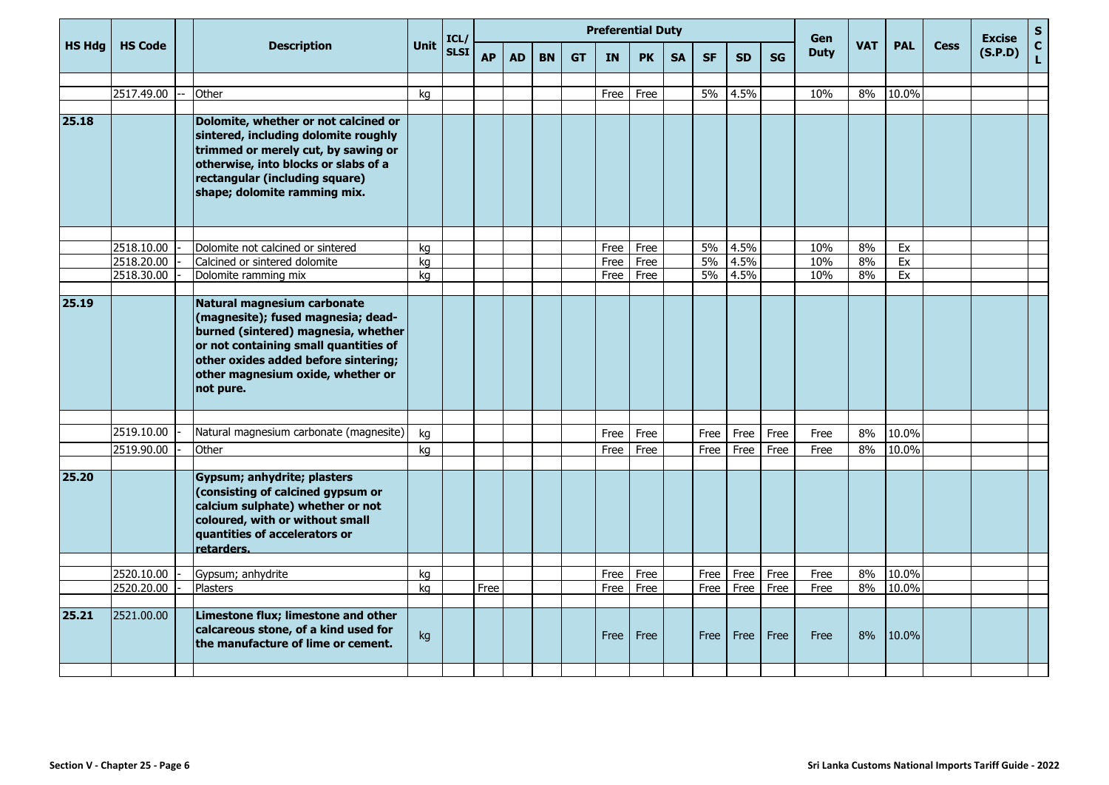|               |                |                                                                                                                                                                                                                                             |             | ICL/        |           |           |           |           |              | <b>Preferential Duty</b> |           |           |           |           | Gen         |            |            |             | <b>Excise</b> | ${\sf s}$          |
|---------------|----------------|---------------------------------------------------------------------------------------------------------------------------------------------------------------------------------------------------------------------------------------------|-------------|-------------|-----------|-----------|-----------|-----------|--------------|--------------------------|-----------|-----------|-----------|-----------|-------------|------------|------------|-------------|---------------|--------------------|
| <b>HS Hdg</b> | <b>HS Code</b> | <b>Description</b>                                                                                                                                                                                                                          | <b>Unit</b> | <b>SLSI</b> | <b>AP</b> | <b>AD</b> | <b>BN</b> | <b>GT</b> | <b>IN</b>    | <b>PK</b>                | <b>SA</b> | <b>SF</b> | <b>SD</b> | <b>SG</b> | <b>Duty</b> | <b>VAT</b> | <b>PAL</b> | <b>Cess</b> | (S.P.D)       | $\mathbf{C}$<br>L. |
|               |                |                                                                                                                                                                                                                                             |             |             |           |           |           |           |              |                          |           |           |           |           |             |            |            |             |               |                    |
|               | 2517.49.00     | Other                                                                                                                                                                                                                                       | kg          |             |           |           |           |           | Free         | Free                     |           | 5%        | 4.5%      |           | 10%         | 8%         | 10.0%      |             |               |                    |
| 25.18         |                | Dolomite, whether or not calcined or<br>sintered, including dolomite roughly<br>trimmed or merely cut, by sawing or<br>otherwise, into blocks or slabs of a<br>rectangular (including square)<br>shape; dolomite ramming mix.               |             |             |           |           |           |           |              |                          |           |           |           |           |             |            |            |             |               |                    |
|               | 2518.10.00     | Dolomite not calcined or sintered                                                                                                                                                                                                           |             |             |           |           |           |           |              |                          |           | 5%        | 4.5%      |           | 10%         | 8%         |            |             |               |                    |
|               | 2518.20.00     | Calcined or sintered dolomite                                                                                                                                                                                                               | kg<br>kg    |             |           |           |           |           | Free<br>Free | Free<br>Free             |           | $5\%$     | 4.5%      |           | 10%         | 8%         | Ex<br>Ex   |             |               |                    |
|               | 2518.30.00     | Dolomite ramming mix                                                                                                                                                                                                                        | ka          |             |           |           |           |           | Free         | Free                     |           | 5%        | 4.5%      |           | 10%         | 8%         | Ex         |             |               |                    |
|               |                |                                                                                                                                                                                                                                             |             |             |           |           |           |           |              |                          |           |           |           |           |             |            |            |             |               |                    |
| 25.19         |                | Natural magnesium carbonate<br>(magnesite); fused magnesia; dead-<br>burned (sintered) magnesia, whether<br>or not containing small quantities of<br>other oxides added before sintering;<br>other magnesium oxide, whether or<br>not pure. |             |             |           |           |           |           |              |                          |           |           |           |           |             |            |            |             |               |                    |
|               |                |                                                                                                                                                                                                                                             |             |             |           |           |           |           |              |                          |           |           |           |           |             |            |            |             |               |                    |
|               | 2519.10.00     | Natural magnesium carbonate (magnesite)                                                                                                                                                                                                     | kg          |             |           |           |           |           | Free         | Free                     |           | Free      | Free      | Free      | Free        | 8%         | 10.0%      |             |               |                    |
|               | 2519.90.00     | Other                                                                                                                                                                                                                                       | ka          |             |           |           |           |           | Free         | Free                     |           | Free      | Free      | Free      | Free        | 8%         | 10.0%      |             |               |                    |
| 25.20         |                | Gypsum; anhydrite; plasters<br>(consisting of calcined gypsum or<br>calcium sulphate) whether or not<br>coloured, with or without small<br>quantities of accelerators or<br>retarders.                                                      |             |             |           |           |           |           |              |                          |           |           |           |           |             |            |            |             |               |                    |
|               | 2520.10.00     | Gypsum; anhydrite                                                                                                                                                                                                                           | kg          |             |           |           |           |           | Free         | Free                     |           | Free      | Free      | Free      | Free        | 8%         | 10.0%      |             |               |                    |
|               | 2520.20.00     | <b>Plasters</b>                                                                                                                                                                                                                             | ka          |             | Free      |           |           |           | Free         | Free                     |           | Free      | Free      | Free      | Free        | 8%         | 10.0%      |             |               |                    |
| 25.21         | 2521.00.00     | Limestone flux; limestone and other<br>calcareous stone, of a kind used for<br>the manufacture of lime or cement.                                                                                                                           | kg          |             |           |           |           |           | Free         | Free                     |           | Free      | Free      | Free      | Free        | 8%         | 10.0%      |             |               |                    |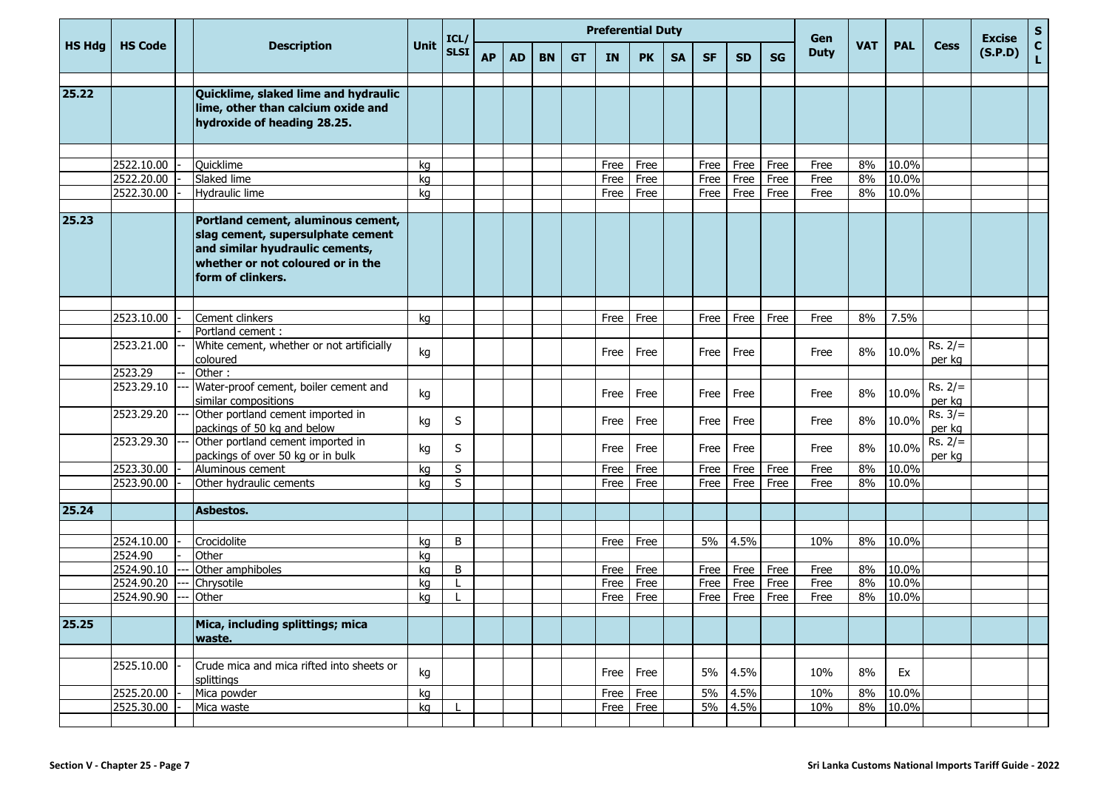|                    |                          |                                                                                                                                                                      |          | ICL/<br><b>SLSI</b> |           |           |           |           | <b>Preferential Duty</b> |              |           |              |              |              | Gen          |            |                |                     | <b>Excise</b> | $\mathbf{s}$       |
|--------------------|--------------------------|----------------------------------------------------------------------------------------------------------------------------------------------------------------------|----------|---------------------|-----------|-----------|-----------|-----------|--------------------------|--------------|-----------|--------------|--------------|--------------|--------------|------------|----------------|---------------------|---------------|--------------------|
| <b>HS Hdg</b>      | <b>HS Code</b>           | <b>Description</b>                                                                                                                                                   | Unit     |                     | <b>AP</b> | <b>AD</b> | <b>BN</b> | <b>GT</b> | <b>IN</b>                | <b>PK</b>    | <b>SA</b> | <b>SF</b>    | <b>SD</b>    | <b>SG</b>    | <b>Duty</b>  | <b>VAT</b> | <b>PAL</b>     | <b>Cess</b>         | (S.P.D)       | $\mathbf{C}$<br>L. |
| $\overline{25.22}$ |                          | Quicklime, slaked lime and hydraulic<br>lime, other than calcium oxide and<br>hydroxide of heading 28.25.                                                            |          |                     |           |           |           |           |                          |              |           |              |              |              |              |            |                |                     |               |                    |
|                    |                          |                                                                                                                                                                      |          |                     |           |           |           |           |                          |              |           |              |              |              |              |            |                |                     |               |                    |
|                    | 2522.10.00<br>2522.20.00 | <b>Quicklime</b><br>Slaked lime                                                                                                                                      | ka<br>ka |                     |           |           |           |           | Free<br>Free             | Free<br>Free |           | Free<br>Free | Free<br>Free | Free<br>Free | Free<br>Free | 8%<br>8%   | 10.0%<br>10.0% |                     |               |                    |
|                    | 2522.30.00               | Hydraulic lime                                                                                                                                                       | kq       |                     |           |           |           |           | Free                     | Free         |           | Free         | Free         | Free         | Free         | 8%         | 10.0%          |                     |               |                    |
|                    |                          |                                                                                                                                                                      |          |                     |           |           |           |           |                          |              |           |              |              |              |              |            |                |                     |               |                    |
| 25.23              |                          | Portland cement, aluminous cement,<br>slag cement, supersulphate cement<br>and similar hyudraulic cements,<br>whether or not coloured or in the<br>form of clinkers. |          |                     |           |           |           |           |                          |              |           |              |              |              |              |            |                |                     |               |                    |
|                    |                          |                                                                                                                                                                      |          |                     |           |           |           |           |                          |              |           |              |              |              |              |            |                |                     |               |                    |
|                    | 2523.10.00               | Cement clinkers                                                                                                                                                      | kg       |                     |           |           |           |           | Free                     | Free         |           | Free         | Free         | Free         | Free         | 8%         | 7.5%           |                     |               |                    |
|                    |                          | Portland cement :                                                                                                                                                    |          |                     |           |           |           |           |                          |              |           |              |              |              |              |            |                |                     |               |                    |
|                    | 2523.21.00               | White cement, whether or not artificially<br>coloured                                                                                                                | kg       |                     |           |           |           |           | Free                     | Free         |           | Free         | Free         |              | Free         | 8%         | 10.0%          | $Rs. 2/=$<br>per kg |               |                    |
|                    | 2523.29                  | Other:                                                                                                                                                               |          |                     |           |           |           |           |                          |              |           |              |              |              |              |            |                |                     |               |                    |
|                    | 2523.29.10               | Water-proof cement, boiler cement and<br>similar compositions                                                                                                        | kg       |                     |           |           |           |           | Free                     | Free         |           | Free         | Free         |              | Free         | 8%         | 10.0%          | $Rs. 2/=$<br>per kg |               |                    |
|                    | 2523.29.20               | Other portland cement imported in<br>packings of 50 kg and below                                                                                                     | kg       | S                   |           |           |           |           | Free                     | Free         |           | Free         | Free         |              | Free         | 8%         | 10.0%          | $Rs. 3/=$<br>per kg |               |                    |
|                    | 2523.29.30               | Other portland cement imported in<br>packings of over 50 kg or in bulk                                                                                               | kg       | S                   |           |           |           |           | Free                     | Free         |           | Free         | Free         |              | Free         | 8%         | 10.0%          | $Rs. 2/=$<br>per kg |               |                    |
|                    | 2523.30.00               | Aluminous cement                                                                                                                                                     | kg       | S                   |           |           |           |           | Free                     | Free         |           | Free         | Free         | Free         | Free         | 8%         | 10.0%          |                     |               |                    |
|                    | 2523.90.00               | Other hydraulic cements                                                                                                                                              | ka       | S                   |           |           |           |           | Free                     | Free         |           | Free         | Free         | Free         | Free         | 8%         | 10.0%          |                     |               |                    |
|                    |                          |                                                                                                                                                                      |          |                     |           |           |           |           |                          |              |           |              |              |              |              |            |                |                     |               |                    |
| 25.24              |                          | Asbestos.                                                                                                                                                            |          |                     |           |           |           |           |                          |              |           |              |              |              |              |            |                |                     |               |                    |
|                    |                          |                                                                                                                                                                      |          |                     |           |           |           |           |                          |              |           |              |              |              |              |            |                |                     |               |                    |
|                    | 2524.10.00               | Crocidolite                                                                                                                                                          | kq       | B                   |           |           |           |           | Free                     | Free         |           | 5%           | 4.5%         |              | 10%          | 8%         | 10.0%          |                     |               |                    |
|                    | 2524.90<br>2524.90.10    | Other<br>Other amphiboles                                                                                                                                            | kq<br>kq | B                   |           |           |           |           | Free                     | Free         |           | Free         | Free         | Free         | Free         | 8%         | 10.0%          |                     |               |                    |
|                    | 2524.90.20               | Chrysotile                                                                                                                                                           | kq       |                     |           |           |           |           | Free                     | Free         |           | Free         | Free         | Free         | Free         | 8%         | 10.0%          |                     |               |                    |
|                    | 2524.90.90               | Other                                                                                                                                                                | kq       |                     |           |           |           |           | Free                     | Free         |           | Free         | Free         | Free         | Free         | 8%         | 10.0%          |                     |               |                    |
|                    |                          |                                                                                                                                                                      |          |                     |           |           |           |           |                          |              |           |              |              |              |              |            |                |                     |               |                    |
| 25.25              |                          | Mica, including splittings; mica<br>waste.                                                                                                                           |          |                     |           |           |           |           |                          |              |           |              |              |              |              |            |                |                     |               |                    |
|                    |                          |                                                                                                                                                                      |          |                     |           |           |           |           |                          |              |           |              |              |              |              |            |                |                     |               |                    |
|                    | 2525.10.00               | Crude mica and mica rifted into sheets or<br>splittings                                                                                                              | kg       |                     |           |           |           |           | Free                     | Free         |           | 5%           | 4.5%         |              | 10%          | 8%         | Ex             |                     |               |                    |
|                    | 2525.20.00               | Mica powder                                                                                                                                                          | kg       |                     |           |           |           |           | Free                     | Free         |           |              | 5% 4.5%      |              | 10%          | 8%         | 10.0%          |                     |               |                    |
|                    | 2525.30.00               | Mica waste                                                                                                                                                           | kg       |                     |           |           |           |           |                          | Free Free    |           |              | 5% 4.5%      |              | 10%          | 8%         | 10.0%          |                     |               |                    |
|                    |                          |                                                                                                                                                                      |          |                     |           |           |           |           |                          |              |           |              |              |              |              |            |                |                     |               |                    |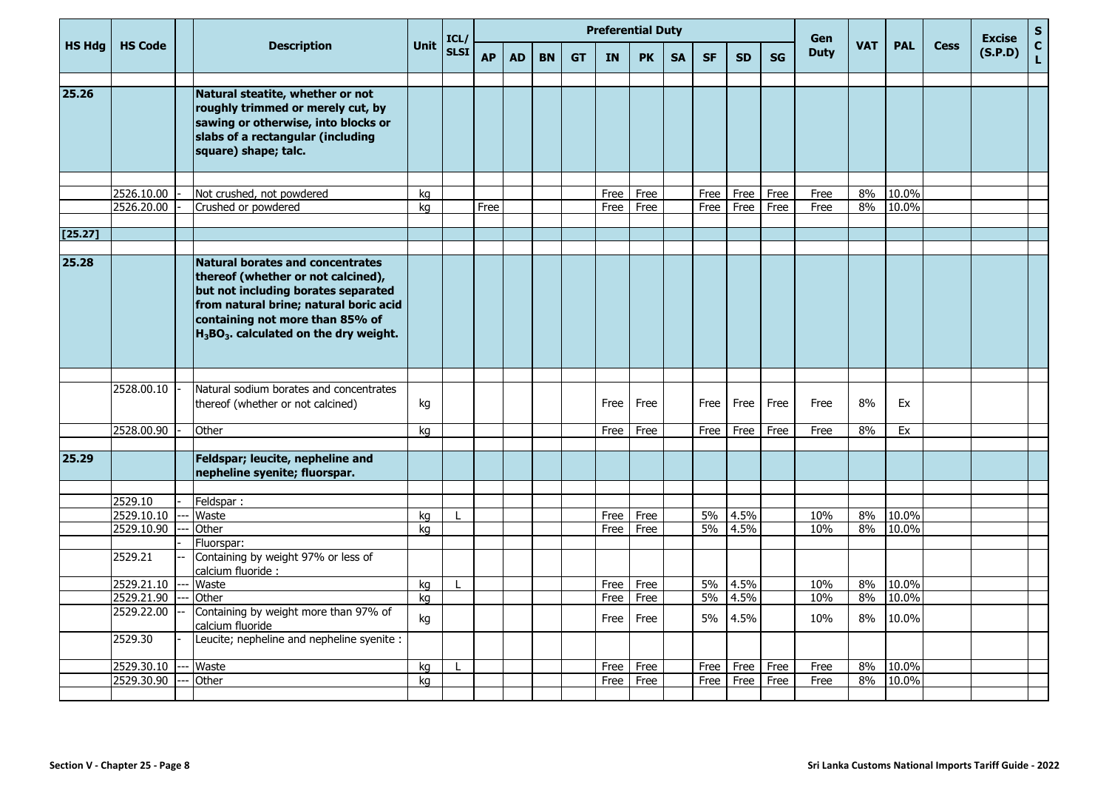|               |                          |       |                                                                                                                                                                                                                                                |             |              |           |           |           |           |              | <b>Preferential Duty</b> |           |              |              |              | Gen          |            |                   |             | <b>Excise</b> | ${\sf s}$                   |
|---------------|--------------------------|-------|------------------------------------------------------------------------------------------------------------------------------------------------------------------------------------------------------------------------------------------------|-------------|--------------|-----------|-----------|-----------|-----------|--------------|--------------------------|-----------|--------------|--------------|--------------|--------------|------------|-------------------|-------------|---------------|-----------------------------|
| <b>HS Hdg</b> | <b>HS Code</b>           |       | <b>Description</b>                                                                                                                                                                                                                             | <b>Unit</b> | ICL/<br>SLSI | <b>AP</b> | <b>AD</b> | <b>BN</b> | <b>GT</b> | <b>IN</b>    | <b>PK</b>                | <b>SA</b> | <b>SF</b>    | <b>SD</b>    | <b>SG</b>    | <b>Duty</b>  | <b>VAT</b> | <b>PAL</b>        | <b>Cess</b> | (S.P.D)       | $\mathbf{C}$<br>$\mathbf L$ |
| 25.26         |                          |       | Natural steatite, whether or not<br>roughly trimmed or merely cut, by<br>sawing or otherwise, into blocks or<br>slabs of a rectangular (including<br>square) shape; talc.                                                                      |             |              |           |           |           |           |              |                          |           |              |              |              |              |            |                   |             |               |                             |
|               | 2526.10.00<br>2526.20.00 |       | Not crushed, not powdered<br>Crushed or powdered                                                                                                                                                                                               | kg<br>kg    |              | Free      |           |           |           | Free<br>Free | Free<br>Free             |           | Free<br>Free | Free<br>Free | Free<br>Free | Free<br>Free | 8%<br>8%   | 10.0%<br>10.0%    |             |               |                             |
| [25.27]       |                          |       |                                                                                                                                                                                                                                                |             |              |           |           |           |           |              |                          |           |              |              |              |              |            |                   |             |               |                             |
| 25.28         |                          |       | <b>Natural borates and concentrates</b><br>thereof (whether or not calcined),<br>but not including borates separated<br>from natural brine; natural boric acid<br>containing not more than 85% of<br>$H_3BO_3$ . calculated on the dry weight. |             |              |           |           |           |           |              |                          |           |              |              |              |              |            |                   |             |               |                             |
|               | 2528.00.10               |       | Natural sodium borates and concentrates                                                                                                                                                                                                        |             |              |           |           |           |           |              |                          |           |              |              |              |              |            |                   |             |               |                             |
|               |                          |       | thereof (whether or not calcined)                                                                                                                                                                                                              | kg          |              |           |           |           |           | Free         | Free                     |           | Free         | Free         | Free         | Free         | 8%         | Ex                |             |               |                             |
|               | 2528.00.90               |       | Other                                                                                                                                                                                                                                          | kg          |              |           |           |           |           | Free         | Free                     |           | Free         | Free         | Free         | Free         | 8%         | Ex                |             |               |                             |
| 25.29         |                          |       | Feldspar; leucite, nepheline and<br>nepheline syenite; fluorspar.                                                                                                                                                                              |             |              |           |           |           |           |              |                          |           |              |              |              |              |            |                   |             |               |                             |
|               | 2529.10                  |       | Feldspar:                                                                                                                                                                                                                                      |             |              |           |           |           |           |              |                          |           |              |              |              |              |            |                   |             |               |                             |
|               | 2529.10.10               |       | Waste                                                                                                                                                                                                                                          | kg          |              |           |           |           |           | Free         | Free                     |           | 5%           | 4.5%         |              | 10%          | 8%         | 10.0%             |             |               |                             |
|               | 2529.10.90               |       | Other                                                                                                                                                                                                                                          | kg          |              |           |           |           |           | Free         | Free                     |           | 5%           | 4.5%         |              | 10%          | 8%         | 10.0%             |             |               |                             |
|               |                          |       | Fluorspar:                                                                                                                                                                                                                                     |             |              |           |           |           |           |              |                          |           |              |              |              |              |            |                   |             |               |                             |
|               | 2529.21                  |       | Containing by weight 97% or less of<br>calcium fluoride :                                                                                                                                                                                      |             |              |           |           |           |           |              |                          |           |              |              |              |              |            |                   |             |               |                             |
|               | 2529.21.10               |       | Waste                                                                                                                                                                                                                                          | kg          |              |           |           |           |           | Free         | Free                     |           | 5%           | 4.5%         |              | 10%          | 8%         | 10.0%             |             |               |                             |
|               | 2529.21.90<br>2529.22.00 | $---$ | Other<br>Containing by weight more than 97% of<br>calcium fluoride                                                                                                                                                                             | kg<br>kg    |              |           |           |           |           | Free<br>Free | Free<br>Free             |           | 5%<br>5%     | 4.5%<br>4.5% |              | 10%<br>10%   | 8%         | 8% 10.0%<br>10.0% |             |               |                             |
|               | 2529.30                  |       | Leucite; nepheline and nepheline syenite :                                                                                                                                                                                                     |             |              |           |           |           |           |              |                          |           |              |              |              |              |            |                   |             |               |                             |
|               | 2529.30.10               |       | Waste                                                                                                                                                                                                                                          | kg          |              |           |           |           |           |              | Free Free                |           | Free         | Free         | Free         | Free         | 8%         | 10.0%             |             |               |                             |
|               | 2529.30.90               |       | Other                                                                                                                                                                                                                                          | kg          |              |           |           |           |           |              | Free Free                |           | Free         | Free         | Free         | Free         |            | 8% 10.0%          |             |               |                             |
|               |                          |       |                                                                                                                                                                                                                                                |             |              |           |           |           |           |              |                          |           |              |              |              |              |            |                   |             |               |                             |